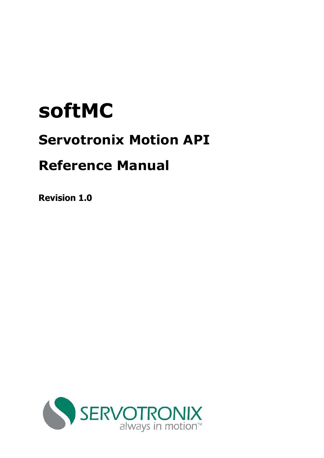# **softMC**

# **Servotronix Motion API**

# **Reference Manual**

**Revision 1.0** 

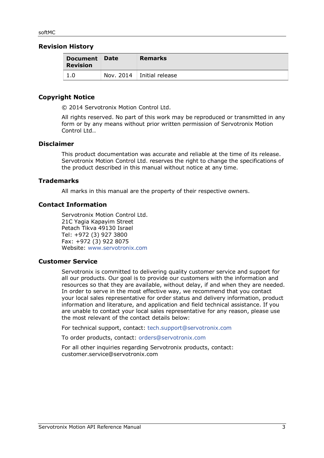#### **Revision History**

| Document Date<br><b>Revision</b> | <b>Remarks</b>                |
|----------------------------------|-------------------------------|
| 1.0                              | Nov. $2014$   Initial release |

#### **Copyright Notice**

© 2014 Servotronix Motion Control Ltd.

All rights reserved. No part of this work may be reproduced or transmitted in any form or by any means without prior written permission of Servotronix Motion Control Ltd...

#### **Disclaimer**

This product documentation was accurate and reliable at the time of its release. Servotronix Motion Control Ltd. reserves the right to change the specifications of the product described in this manual without notice at any time.

#### **Trademarks**

All marks in this manual are the property of their respective owners.

#### **Contact Information**

Servotronix Motion Control Ltd. 21C Yagia Kapayim Street Petach Tikva 49130 Israel Tel: +972 (3) 927 3800 Fax: +972 (3) 922 8075 Website: [www.servotronix.com](http://www.servotronix.com/) 

#### **Customer Service**

Servotronix is committed to delivering quality customer service and support for all our products. Our goal is to provide our customers with the information and resources so that they are available, without delay, if and when they are needed. In order to serve in the most effective way, we recommend that you contact your local sales representative for order status and delivery information, product information and literature, and application and field technical assistance. If you are unable to contact your local sales representative for any reason, please use the most relevant of the contact details below:

For technical support, contact: [tech.support@servotronix.com](mailto:tech.support@servotronix.com)

To order products, contact: [orders@servotronix.com](mailto:orders@servotronix.com)

For all other inquiries regarding Servotronix products, contact: [customer.service@servotronix.com](mailto:customer.service@servotronix.com)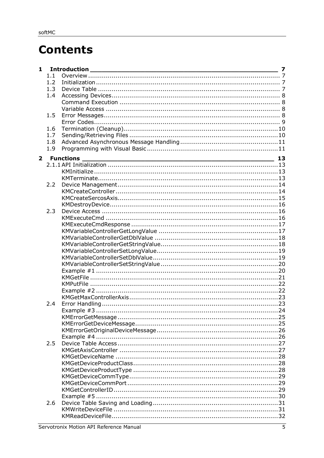# **Contents**

| $\mathbf{1}$   |     |                        | 7 |
|----------------|-----|------------------------|---|
|                | 1.1 |                        |   |
|                | 1.2 |                        |   |
|                | 1.3 |                        |   |
|                | 1.4 |                        |   |
|                |     |                        |   |
|                |     |                        |   |
|                | 1.5 |                        |   |
|                |     |                        |   |
|                | 1.6 |                        |   |
|                | 1.7 |                        |   |
|                | 1.8 |                        |   |
|                | 1.9 |                        |   |
| $\overline{2}$ |     | <b>Functions</b><br>13 |   |
|                |     |                        |   |
|                |     |                        |   |
|                |     |                        |   |
|                | 2.2 |                        |   |
|                |     |                        |   |
|                |     |                        |   |
|                |     |                        |   |
|                | 2.3 |                        |   |
|                |     |                        |   |
|                |     |                        |   |
|                |     |                        |   |
|                |     |                        |   |
|                |     |                        |   |
|                |     |                        |   |
|                |     |                        |   |
|                |     |                        |   |
|                |     |                        |   |
|                |     |                        |   |
|                |     |                        |   |
|                |     |                        |   |
|                |     |                        |   |
|                | 2.4 |                        |   |
|                |     |                        |   |
|                |     |                        |   |
|                |     |                        |   |
|                |     |                        |   |
|                |     |                        |   |
|                | 2.5 |                        |   |
|                |     |                        |   |
|                |     |                        |   |
|                |     |                        |   |
|                |     |                        |   |
|                |     |                        |   |
|                |     |                        |   |
|                |     |                        |   |
|                |     |                        |   |
|                | 2.6 |                        |   |
|                |     |                        |   |
|                |     |                        |   |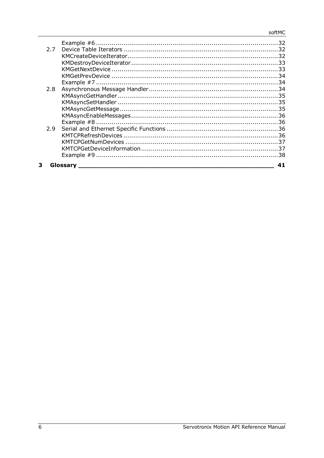| 2.8 |  |
|-----|--|
|     |  |
|     |  |
|     |  |
|     |  |
| 27  |  |
|     |  |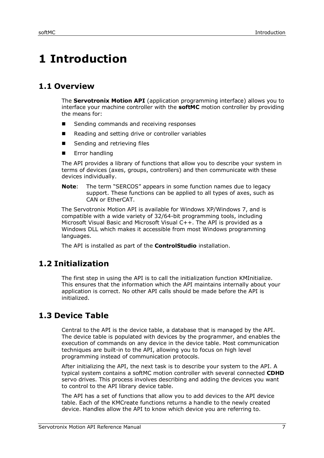# <span id="page-6-0"></span>**1 Introduction**

# <span id="page-6-1"></span>**1.1 Overview**

The **Servotronix Motion API** (application programming interface) allows you to interface your machine controller with the **softMC** motion controller by providing the means for:

- Sending commands and receiving responses
- Reading and setting drive or controller variables
- Sending and retrieving files
- Error handling

The API provides a library of functions that allow you to describe your system in terms of devices (axes, groups, controllers) and then communicate with these devices individually.

**Note**: The term "SERCOS" appears in some function names due to legacy support. These functions can be applied to all types of axes, such as CAN or EtherCAT.

The Servotronix Motion API is available for Windows XP/Windows 7, and is compatible with a wide variety of 32/64-bit programming tools, including Microsoft Visual Basic and Microsoft Visual C++. The API is provided as a Windows DLL which makes it accessible from most Windows programming languages.

The API is installed as part of the **ControlStudio** installation.

# <span id="page-6-2"></span>**1.2 Initialization**

The first step in using the API is to call the initialization function KMInitialize. This ensures that the information which the API maintains internally about your application is correct. No other API calls should be made before the API is initialized.

# <span id="page-6-3"></span>**1.3 Device Table**

Central to the API is the device table, a database that is managed by the API. The device table is populated with devices by the programmer, and enables the execution of commands on any device in the device table. Most communication techniques are built-in to the API, allowing you to focus on high level programming instead of communication protocols.

After initializing the API, the next task is to describe your system to the API. A typical system contains a softMC motion controller with several connected **CDHD** servo drives. This process involves describing and adding the devices you want to control to the API library device table.

The API has a set of functions that allow you to add devices to the API device table. Each of the KMCreate functions returns a handle to the newly created device. Handles allow the API to know which device you are referring to.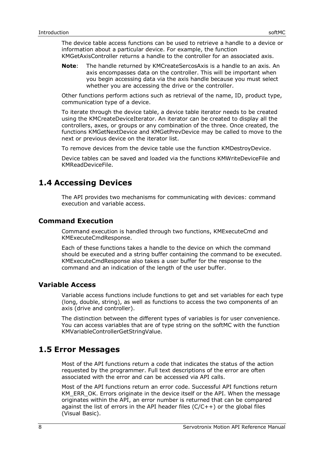The device table access functions can be used to retrieve a handle to a device or information about a particular device. For example, the function KMGetAxisController returns a handle to the controller for an associated axis.

**Note**: The handle returned by KMCreateSercosAxis is a handle to an axis. An axis encompasses data on the controller. This will be important when you begin accessing data via the axis handle because you must select whether you are accessing the drive or the controller.

Other functions perform actions such as retrieval of the name, ID, product type, communication type of a device.

To iterate through the device table, a device table iterator needs to be created using the KMCreateDeviceIterator. An iterator can be created to display all the controllers, axes, or groups or any combination of the three. Once created, the functions KMGetNextDevice and KMGetPrevDevice may be called to move to the next or previous device on the iterator list.

To remove devices from the device table use the function KMDestroyDevice.

Device tables can be saved and loaded via the functions KMWriteDeviceFile and KMReadDeviceFile.

# <span id="page-7-0"></span>**1.4 Accessing Devices**

The API provides two mechanisms for communicating with devices: command execution and variable access.

#### <span id="page-7-1"></span>**Command Execution**

Command execution is handled through two functions, KMExecuteCmd and KMExecuteCmdResponse.

Each of these functions takes a handle to the device on which the command should be executed and a string buffer containing the command to be executed. KMExecuteCmdResponse also takes a user buffer for the response to the command and an indication of the length of the user buffer.

#### <span id="page-7-2"></span>**Variable Access**

Variable access functions include functions to get and set variables for each type (long, double, string), as well as functions to access the two components of an axis (drive and controller).

The distinction between the different types of variables is for user convenience. You can access variables that are of type string on the softMC with the function KMVariableControllerGetStringValue.

#### <span id="page-7-3"></span>**1.5 Error Messages**

Most of the API functions return a code that indicates the status of the action requested by the programmer. Full text descriptions of the error are often associated with the error and can be accessed via API calls.

Most of the API functions return an error code. Successful API functions return KM\_ERR\_OK. Errors originate in the device itself or the API. When the message originates within the API, an error number is returned that can be compared against the list of errors in the API header files  $(C/C++)$  or the global files (Visual Basic).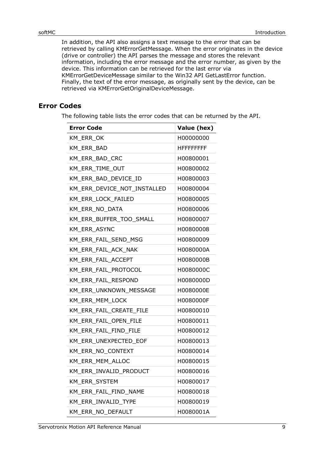In addition, the API also assigns a text message to the error that can be retrieved by calling KMErrorGetMessage. When the error originates in the device (drive or controller) the API parses the message and stores the relevant information, including the error message and the error number, as given by the device. This information can be retrieved for the last error via KMErrorGetDeviceMessage similar to the Win32 API GetLastError function. Finally, the text of the error message, as originally sent by the device, can be retrieved via KMErrorGetOriginalDeviceMessage.

#### <span id="page-8-0"></span>**Error Codes**

The following table lists the error codes that can be returned by the API.

| <b>Error Code</b>           | Value (hex)       |
|-----------------------------|-------------------|
| KM_ERR_OK                   | H00000000         |
| KM_ERR_BAD                  | <b>HFFFFFFFFF</b> |
| KM_ERR_BAD_CRC              | H00800001         |
| KM_ERR_TIME_OUT             | H00800002         |
| KM ERR BAD DEVICE ID        | H00800003         |
| KM ERR DEVICE NOT INSTALLED | H00800004         |
| KM_ERR_LOCK_FAILED          | H00800005         |
| KM ERR NO DATA              | H00800006         |
| KM_ERR_BUFFER_TOO_SMALL     | H00800007         |
| KM ERR ASYNC                | H00800008         |
| KM_ERR_FAIL_SEND_MSG        | H00800009         |
| KM ERR FAIL ACK NAK         | H0080000A         |
| KM_ERR_FAIL_ACCEPT          | H0080000B         |
| KM_ERR_FAIL_PROTOCOL        | H0080000C         |
| KM ERR FAIL RESPOND         | H0080000D         |
| KM_ERR_UNKNOWN_MESSAGE      | H0080000E         |
| KM_ERR_MEM_LOCK             | H0080000F         |
| KM_ERR_FAIL_CREATE_FILE     | H00800010         |
| KM_ERR_FAIL_OPEN_FILE       | H00800011         |
| KM_ERR_FAIL_FIND_FILE       | H00800012         |
| KM ERR UNEXPECTED EOF       | H00800013         |
| KM_ERR_NO_CONTEXT           | H00800014         |
| KM_ERR_MEM_ALLOC            | H00800015         |
| KM_ERR_INVALID_PRODUCT      | H00800016         |
| KM_ERR_SYSTEM               | H00800017         |
| KM ERR FAIL FIND NAME       | H00800018         |
| KM ERR INVALID TYPE         | H00800019         |
| KM_ERR_NO_DEFAULT           | H0080001A         |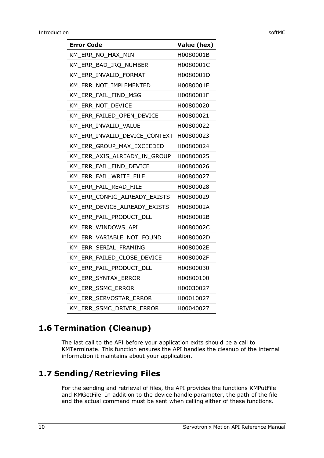| softMC |  |
|--------|--|

| <b>Error Code</b>                       | Value (hex) |
|-----------------------------------------|-------------|
| KM_ERR_NO_MAX_MIN                       | H0080001B   |
| KM_ERR_BAD_IRQ_NUMBER                   | H0080001C   |
| KM_ERR_INVALID_FORMAT                   | H0080001D   |
| KM_ERR_NOT_IMPLEMENTED                  | H0080001E   |
| KM ERR FAIL FIND MSG                    | H0080001F   |
| KM_ERR_NOT_DEVICE                       | H00800020   |
| KM ERR FAILED OPEN DEVICE               | H00800021   |
| KM_ERR_INVALID_VALUE                    | H00800022   |
| KM ERR INVALID DEVICE CONTEXT H00800023 |             |
| KM_ERR_GROUP_MAX_EXCEEDED               | H00800024   |
| KM ERR AXIS ALREADY IN GROUP            | H00800025   |
| KM_ERR_FAIL_FIND_DEVICE                 | H00800026   |
| KM_ERR_FAIL_WRITE_FILE                  | H00800027   |
| KM ERR FAIL READ FILE                   | H00800028   |
| KM_ERR_CONFIG_ALREADY_EXISTS            | H00800029   |
| KM ERR DEVICE ALREADY EXISTS            | H0080002A   |
| KM_ERR_FAIL_PRODUCT_DLL                 | H0080002B   |
| KM ERR WINDOWS API                      | H0080002C   |
| KM_ERR_VARIABLE_NOT_FOUND               | H0080002D   |
| KM ERR SERIAL FRAMING                   | H0080002E   |
| KM ERR FAILED CLOSE DEVICE              | H0080002F   |
| KM_ERR_FAIL_PRODUCT_DLL                 | H00800030   |
| KM ERR SYNTAX ERROR                     | H00800100   |
| KM_ERR_SSMC_ERROR                       | H00030027   |
| KM ERR SERVOSTAR ERROR                  | H00010027   |
| KM ERR SSMC DRIVER ERROR                | H00040027   |

# <span id="page-9-0"></span>**1.6 Termination (Cleanup)**

The last call to the API before your application exits should be a call to KMTerminate. This function ensures the API handles the cleanup of the internal information it maintains about your application.

# <span id="page-9-1"></span>**1.7 Sending/Retrieving Files**

For the sending and retrieval of files, the API provides the functions KMPutFile and KMGetFile. In addition to the device handle parameter, the path of the file and the actual command must be sent when calling either of these functions.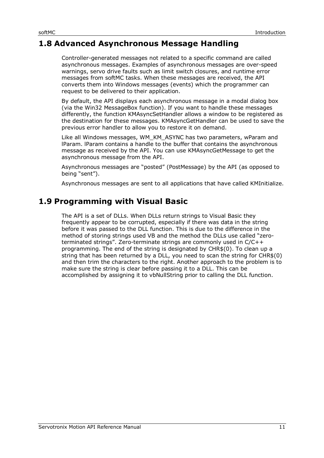# <span id="page-10-0"></span>**1.8 Advanced Asynchronous Message Handling**

Controller-generated messages not related to a specific command are called asynchronous messages. Examples of asynchronous messages are over-speed warnings, servo drive faults such as limit switch closures, and runtime error messages from softMC tasks. When these messages are received, the API converts them into Windows messages (events) which the programmer can request to be delivered to their application.

By default, the API displays each asynchronous message in a modal dialog box (via the Win32 MessageBox function). If you want to handle these messages differently, the function KMAsyncSetHandler allows a window to be registered as the destination for these messages. KMAsyncGetHandler can be used to save the previous error handler to allow you to restore it on demand.

Like all Windows messages, WM\_KM\_ASYNC has two parameters, wParam and lParam. lParam contains a handle to the buffer that contains the asynchronous message as received by the API. You can use KMAsyncGetMessage to get the asynchronous message from the API.

Asynchronous messages are "posted" (PostMessage) by the API (as opposed to being "sent").

Asynchronous messages are sent to all applications that have called KMInitialize.

### <span id="page-10-1"></span>**1.9 Programming with Visual Basic**

The API is a set of DLLs. When DLLs return strings to Visual Basic they frequently appear to be corrupted, especially if there was data in the string before it was passed to the DLL function. This is due to the difference in the method of storing strings used VB and the method the DLLs use called "zeroterminated strings". Zero-terminate strings are commonly used in C/C++ programming. The end of the string is designated by CHR\$(0). To clean up a string that has been returned by a DLL, you need to scan the string for CHR\$(0) and then trim the characters to the right. Another approach to the problem is to make sure the string is clear before passing it to a DLL. This can be accomplished by assigning it to vbNullString prior to calling the DLL function.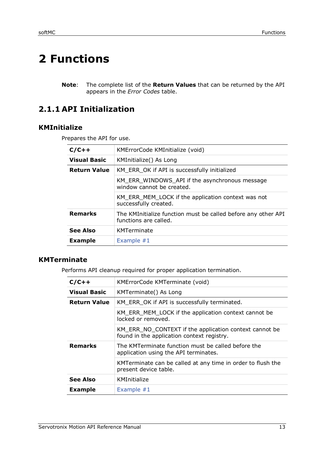# <span id="page-12-0"></span>**2 Functions**

**Note**: The complete list of the **Return Values** that can be returned by the API appears in the *[Error Codes](#page-8-0)* table.

# <span id="page-12-1"></span>**2.1.1 API Initialization**

#### <span id="page-12-2"></span>**KMInitialize**

Prepares the API for use.

| $C/C++$                                                                                                  | KMErrorCode KMInitialize (void)                                             |  |
|----------------------------------------------------------------------------------------------------------|-----------------------------------------------------------------------------|--|
| <b>Visual Basic</b>                                                                                      | KMInitialize() As Long                                                      |  |
| <b>Return Value</b>                                                                                      | KM_ERR_OK if API is successfully initialized                                |  |
|                                                                                                          | KM_ERR_WINDOWS_API if the asynchronous message<br>window cannot be created. |  |
|                                                                                                          | KM ERR MEM_LOCK if the application context was not<br>successfully created. |  |
| <b>Remarks</b><br>The KMInitialize function must be called before any other API<br>functions are called. |                                                                             |  |
| <b>See Also</b>                                                                                          | KMTerminate                                                                 |  |
| <b>Example</b>                                                                                           | Example $#1$                                                                |  |

### <span id="page-12-3"></span>**KMTerminate**

Performs API cleanup required for proper application termination.

| $C/C++$             | KMErrorCode KMTerminate (void)                                                                       |  |
|---------------------|------------------------------------------------------------------------------------------------------|--|
| <b>Visual Basic</b> | KMTerminate() As Long                                                                                |  |
| <b>Return Value</b> | KM_ERR_OK if API is successfully terminated.                                                         |  |
|                     | KM_ERR_MEM_LOCK if the application context cannot be<br>locked or removed.                           |  |
|                     | KM_ERR_NO_CONTEXT if the application context cannot be<br>found in the application context registry. |  |
| <b>Remarks</b>      | The KMTerminate function must be called before the<br>application using the API terminates.          |  |
|                     | KMTerminate can be called at any time in order to flush the<br>present device table.                 |  |
| <b>See Also</b>     | KMInitialize                                                                                         |  |
| <b>Example</b>      | Example $#1$                                                                                         |  |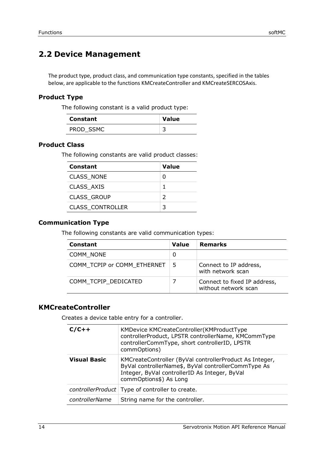# <span id="page-13-0"></span>**2.2 Device Management**

The product type, product class, and communication type constants, specified in the tables below, are applicable to the functions KMCreateController and KMCreateSERCOSAxis.

#### **Product Type**

The following constant is a valid product type:

| <b>Constant</b> | <b>Value</b> |
|-----------------|--------------|
| PROD SSMC       |              |

#### **Product Class**

The following constants are valid product classes:

| Constant                | Value |
|-------------------------|-------|
| <b>CLASS NONE</b>       | ი     |
| CLASS AXIS              | 1     |
| <b>CLASS GROUP</b>      | 2     |
| <b>CLASS_CONTROLLER</b> | 3     |

#### **Communication Type**

The following constants are valid communication types:

| <b>Constant</b>             | <b>Value</b> | <b>Remarks</b>                                       |
|-----------------------------|--------------|------------------------------------------------------|
| COMM NONE                   | 0            |                                                      |
| COMM TCPIP or COMM ETHERNET | 5            | Connect to IP address,<br>with network scan          |
| COMM TCPIP DEDICATED        |              | Connect to fixed IP address,<br>without network scan |

#### <span id="page-13-1"></span>**KMCreateController**

Creates a device table entry for a controller.

| $C/C++$             | KMDevice KMCreateController(KMProductType<br>controllerProduct, LPSTR controllerName, KMCommType<br>controllerCommType, short controllerID, LPSTR<br>commOptions)                         |
|---------------------|-------------------------------------------------------------------------------------------------------------------------------------------------------------------------------------------|
| <b>Visual Basic</b> | KMCreateController (ByVal controllerProduct As Integer,<br>ByVal controllerName\$, ByVal controllerCommType As<br>Integer, ByVal controllerID As Integer, ByVal<br>commOptions\$) As Long |
|                     | controllerProduct   Type of controller to create.                                                                                                                                         |
| controllerName      | String name for the controller.                                                                                                                                                           |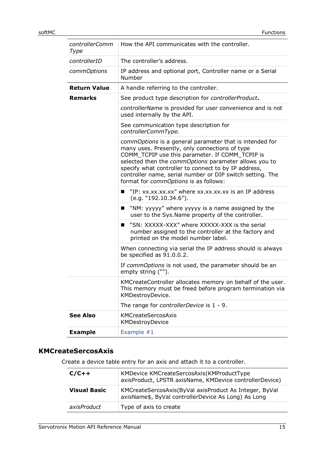| controllerComm<br>Type | How the API communicates with the controller.                                                                                                                                                                                                                                                                                                                                       |
|------------------------|-------------------------------------------------------------------------------------------------------------------------------------------------------------------------------------------------------------------------------------------------------------------------------------------------------------------------------------------------------------------------------------|
| controllerID           | The controller's address.                                                                                                                                                                                                                                                                                                                                                           |
| commOptions            | IP address and optional port, Controller name or a Serial<br>Number                                                                                                                                                                                                                                                                                                                 |
| <b>Return Value</b>    | A handle referring to the controller.                                                                                                                                                                                                                                                                                                                                               |
| <b>Remarks</b>         | See product type description for controllerProduct.                                                                                                                                                                                                                                                                                                                                 |
|                        | controllerName is provided for user convenience and is not<br>used internally by the API.                                                                                                                                                                                                                                                                                           |
|                        | See communication type description for<br>controllerCommType.                                                                                                                                                                                                                                                                                                                       |
|                        | commOptions is a general parameter that is intended for<br>many uses. Presently, only connections of type<br>COMM_TCPIP use this parameter. If COMM_TCPIP is<br>selected then the commOptions parameter allows you to<br>specify what controller to connect to by IP address,<br>controller name, serial number or DIP switch setting. The<br>format for commOptions is as follows: |
|                        | "IP: xx.xx.xx.xx" where xx.xx.xx.xx is an IP address<br>■<br>(e.g. "192.10.34.6").                                                                                                                                                                                                                                                                                                  |
|                        | $\blacksquare$ "NM: yyyyy" where yyyyy is a name assigned by the<br>user to the Sys. Name property of the controller.                                                                                                                                                                                                                                                               |
|                        | "SN: XXXXX-XXX" where XXXXX-XXX is the serial<br>▬<br>number assigned to the controller at the factory and<br>printed on the model number label.                                                                                                                                                                                                                                    |
|                        | When connecting via serial the IP address should is always<br>be specified as 91.0.0.2.                                                                                                                                                                                                                                                                                             |
|                        | If commOptions is not used, the parameter should be an<br>empty string ("").                                                                                                                                                                                                                                                                                                        |
|                        | KMCreateController allocates memory on behalf of the user.<br>This memory must be freed before program termination via<br>KMDestroyDevice.                                                                                                                                                                                                                                          |
|                        | The range for controllerDevice is 1 - 9.                                                                                                                                                                                                                                                                                                                                            |
| <b>See Also</b>        | <b>KMCreateSercosAxis</b><br>KMDestroyDevice                                                                                                                                                                                                                                                                                                                                        |
| <b>Example</b>         | Example #1                                                                                                                                                                                                                                                                                                                                                                          |

# <span id="page-14-0"></span>**KMCreateSercosAxis**

Create a device table entry for an axis and attach it to a controller.

| $C/C++$             | KMDevice KMCreateSercosAxis(KMProductType<br>axisProduct, LPSTR axisName, KMDevice controllerDevice)          |
|---------------------|---------------------------------------------------------------------------------------------------------------|
| <b>Visual Basic</b> | KMCreateSercosAxis(ByVal axisProduct As Integer, ByVal<br>axisName\$, ByVal controllerDevice As Long) As Long |
| axisProduct         | Type of axis to create                                                                                        |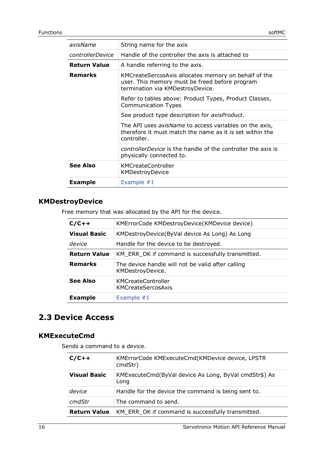| axisName            | String name for the axis                                                                                                                   |
|---------------------|--------------------------------------------------------------------------------------------------------------------------------------------|
| controllerDevice    | Handle of the controller the axis is attached to                                                                                           |
| <b>Return Value</b> | A handle referring to the axis.                                                                                                            |
| Remarks             | KMCreateSercosAxis allocates memory on behalf of the<br>user. This memory must be freed before program<br>termination via KMDestroyDevice. |
|                     | Refer to tables above: Product Types, Product Classes,<br><b>Communication Types</b>                                                       |
|                     | See product type description for <i>axisProduct</i> .                                                                                      |
|                     | The API uses <i>axisName</i> to access variables on the axis,<br>therefore it must match the name as it is set within the<br>controller.   |
|                     | <i>controllerDevice</i> is the handle of the controller the axis is<br>physically connected to.                                            |
| <b>See Also</b>     | <b>KMCreateController</b><br><b>KMDestroyDevice</b>                                                                                        |
| <b>Example</b>      | Example $#1$                                                                                                                               |

# <span id="page-15-0"></span>**KMDestroyDevice**

Free memory that was allocated by the API for the device.

| $C/C++$             | KMErrorCode KMDestroyDevice(KMDevice device)                          |
|---------------------|-----------------------------------------------------------------------|
| <b>Visual Basic</b> | KMDestroyDevice(ByVal device As Long) As Long                         |
| device              | Handle for the device to be destroyed.                                |
| <b>Return Value</b> | KM_ERR_OK if command is successfully transmitted.                     |
| <b>Remarks</b>      | The device handle will not be valid after calling<br>KMDestroyDevice. |
| <b>See Also</b>     | <b>KMCreateController</b><br>KMCreateSercosAxis                       |
| <b>Example</b>      | Example $#1$                                                          |

# <span id="page-15-1"></span>**2.3 Device Access**

#### <span id="page-15-2"></span>**KMExecuteCmd**

Sends a command to a device.

| $C/C++$             | KMErrorCode KMExecuteCmd(KMDevice device, LPSTR<br>cmdStr)    |
|---------------------|---------------------------------------------------------------|
| <b>Visual Basic</b> | KMExecuteCmd(ByVal device As Long, ByVal cmdStr\$) As<br>Long |
| device              | Handle for the device the command is being sent to.           |
| cmdStr              | The command to send.                                          |
| <b>Return Value</b> | KM_ERR_OK if command is successfully transmitted.             |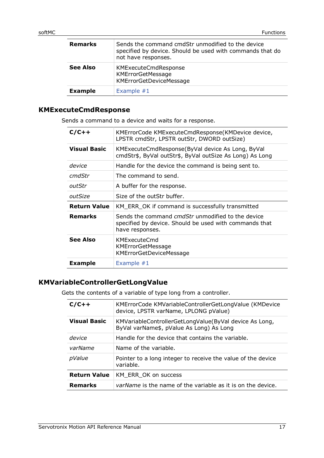| <b>Remarks</b>  | Sends the command cmdStr unmodified to the device<br>specified by device. Should be used with commands that do<br>not have responses. |
|-----------------|---------------------------------------------------------------------------------------------------------------------------------------|
| <b>See Also</b> | <b>KMExecuteCmdResponse</b><br><b>KMErrorGetMessage</b><br>KMErrorGetDeviceMessage                                                    |
| <b>Example</b>  | Example $#1$                                                                                                                          |

#### <span id="page-16-0"></span>**KMExecuteCmdResponse**

Sends a command to a device and waits for a response.

| $C/C++$             | KMErrorCode KMExecuteCmdResponse(KMDevice device,<br>LPSTR cmdStr, LPSTR outStr, DWORD outSize)                                       |
|---------------------|---------------------------------------------------------------------------------------------------------------------------------------|
| <b>Visual Basic</b> | KMExecuteCmdResponse(ByVal device As Long, ByVal<br>cmdStr\$, ByVal outStr\$, ByVal outSize As Long) As Long                          |
| device              | Handle for the device the command is being sent to.                                                                                   |
| cmdStr              | The command to send.                                                                                                                  |
| outStr              | A buffer for the response.                                                                                                            |
| outSize             | Size of the outStr buffer.                                                                                                            |
| <b>Return Value</b> | KM_ERR_OK if command is successfully transmitted                                                                                      |
| <b>Remarks</b>      | Sends the command <i>cmdStr</i> unmodified to the device<br>specified by device. Should be used with commands that<br>have responses. |
| <b>See Also</b>     | <b>KMExecuteCmd</b><br><b>KMErrorGetMessage</b><br><b>KMErrorGetDeviceMessage</b>                                                     |
| <b>Example</b>      | Example $#1$                                                                                                                          |

#### <span id="page-16-1"></span>**KMVariableControllerGetLongValue**

Gets the contents of a variable of type long from a controller.

| $C/C++$             | KMErrorCode KMVariableControllerGetLongValue (KMDevice<br>device, LPSTR varName, LPLONG pValue)    |
|---------------------|----------------------------------------------------------------------------------------------------|
| <b>Visual Basic</b> | KMVariableControllerGetLongValue(ByVal device As Long,<br>ByVal varName\$, pValue As Long) As Long |
| device              | Handle for the device that contains the variable.                                                  |
| varName             | Name of the variable.                                                                              |
| pValue              | Pointer to a long integer to receive the value of the device<br>variable.                          |
| <b>Return Value</b> | KM ERR OK on success                                                                               |
| <b>Remarks</b>      | <i>varName</i> is the name of the variable as it is on the device.                                 |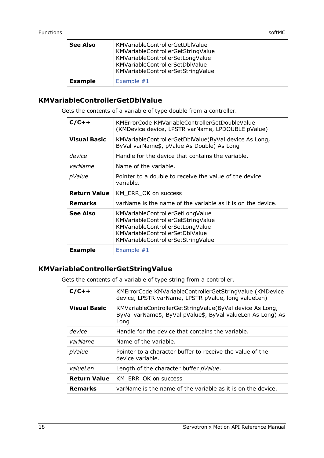| <b>See Also</b> | KMVariableControllerGetDblValue<br>KMVariableControllerGetStringValue<br>KMVariableControllerSetLongValue<br>KMVariableControllerSetDblValue<br>KMVariableControllerSetStringValue |
|-----------------|------------------------------------------------------------------------------------------------------------------------------------------------------------------------------------|
| <b>Example</b>  | Example $#1$                                                                                                                                                                       |

#### <span id="page-17-0"></span>**KMVariableControllerGetDblValue**

Gets the contents of a variable of type double from a controller.

| $C/C++$             | KMErrorCode KMVariableControllerGetDoubleValue<br>(KMDevice device, LPSTR varName, LPDOUBLE pValue)                                                                                 |
|---------------------|-------------------------------------------------------------------------------------------------------------------------------------------------------------------------------------|
| <b>Visual Basic</b> | KMVariableControllerGetDblValue(ByVal device As Long,<br>ByVal varName\$, pValue As Double) As Long                                                                                 |
| device              | Handle for the device that contains the variable.                                                                                                                                   |
| varName             | Name of the variable.                                                                                                                                                               |
| pValue              | Pointer to a double to receive the value of the device<br>variable.                                                                                                                 |
| <b>Return Value</b> | KM ERR OK on success                                                                                                                                                                |
| <b>Remarks</b>      | varName is the name of the variable as it is on the device.                                                                                                                         |
| See Also            | KMVariableControllerGetLongValue<br>KMVariableControllerGetStringValue<br>KMVariableControllerSetLongValue<br>KMVariableControllerSetDblValue<br>KMVariableControllerSetStringValue |
| <b>Example</b>      |                                                                                                                                                                                     |

#### <span id="page-17-1"></span>**KMVariableControllerGetStringValue**

Gets the contents of a variable of type string from a controller.

| $C/C++$             | KMErrorCode KMVariableControllerGetStringValue (KMDevice<br>device, LPSTR varName, LPSTR pValue, long valueLen)                 |
|---------------------|---------------------------------------------------------------------------------------------------------------------------------|
| <b>Visual Basic</b> | KMVariableControllerGetStringValue(ByVal device As Long,<br>ByVal varName\$, ByVal pValue\$, ByVal valueLen As Long) As<br>Long |
| device              | Handle for the device that contains the variable.                                                                               |
| varName             | Name of the variable.                                                                                                           |
| pValue              | Pointer to a character buffer to receive the value of the<br>device variable.                                                   |
| valueLen            | Length of the character buffer pValue.                                                                                          |
| <b>Return Value</b> | KM ERR OK on success                                                                                                            |
| <b>Remarks</b>      | varName is the name of the variable as it is on the device.                                                                     |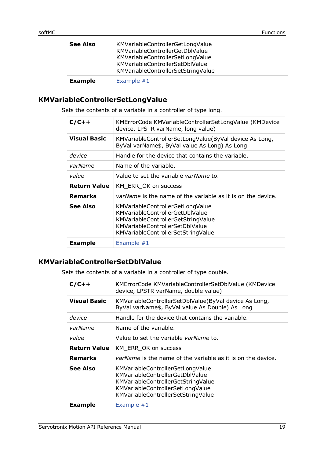| <b>See Also</b> | KMVariableControllerGetLongValue<br>KMVariableControllerGetDblValue<br>KMVariableControllerSetLongValue<br>KMVariableControllerSetDblValue<br>KMVariableControllerSetStringValue |
|-----------------|----------------------------------------------------------------------------------------------------------------------------------------------------------------------------------|
| <b>Example</b>  | Example $#1$                                                                                                                                                                     |

#### <span id="page-18-0"></span>**KMVariableControllerSetLongValue**

Sets the contents of a variable in a controller of type long.

| $C/C++$             | KMErrorCode KMVariableControllerSetLongValue (KMDevice<br>device, LPSTR varName, long value)                                                                                              |
|---------------------|-------------------------------------------------------------------------------------------------------------------------------------------------------------------------------------------|
| <b>Visual Basic</b> | KMVariableControllerSetLongValue(ByVal device As Long,<br>ByVal varName\$, ByVal value As Long) As Long                                                                                   |
| device              | Handle for the device that contains the variable.                                                                                                                                         |
| varName             | Name of the variable.                                                                                                                                                                     |
| value               | Value to set the variable varName to.                                                                                                                                                     |
| <b>Return Value</b> | KM ERR OK on success                                                                                                                                                                      |
| <b>Remarks</b>      | varName is the name of the variable as it is on the device.                                                                                                                               |
| See Also            | KMVariableControllerGetLongValue<br><b>KMVariableControllerGetDblValue</b><br>KMVariableControllerGetStringValue<br>KMVariableControllerSetDblValue<br>KMVariableControllerSetStringValue |
| <b>Example</b>      | Example $#1$                                                                                                                                                                              |

#### <span id="page-18-1"></span>**KMVariableControllerSetDblValue**

Sets the contents of a variable in a controller of type double.

| $C/C++$             | KMErrorCode KMVariableControllerSetDblValue (KMDevice<br>device, LPSTR varName, double value)                                                                                       |
|---------------------|-------------------------------------------------------------------------------------------------------------------------------------------------------------------------------------|
| <b>Visual Basic</b> | KMVariableControllerSetDblValue(ByVal device As Long,<br>ByVal varName\$, ByVal value As Double) As Long                                                                            |
| device              | Handle for the device that contains the variable.                                                                                                                                   |
| varName             | Name of the variable.                                                                                                                                                               |
| value               | Value to set the variable varName to.                                                                                                                                               |
|                     |                                                                                                                                                                                     |
| <b>Return Value</b> | KM_ERR_OK on success                                                                                                                                                                |
| <b>Remarks</b>      | <i>varName</i> is the name of the variable as it is on the device.                                                                                                                  |
| See Also            | KMVariableControllerGetLongValue<br>KMVariableControllerGetDblValue<br>KMVariableControllerGetStringValue<br>KMVariableControllerSetLongValue<br>KMVariableControllerSetStringValue |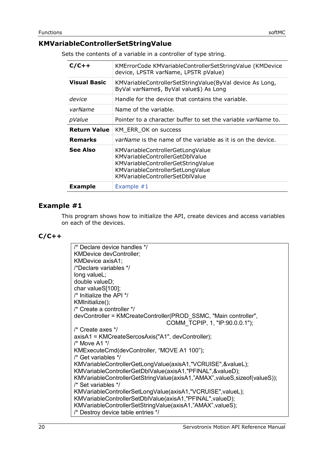#### <span id="page-19-0"></span>**KMVariableControllerSetStringValue**

Sets the contents of a variable in a controller of type string.

| $C/C++$             | KMErrorCode KMVariableControllerSetStringValue (KMDevice<br>device, LPSTR varName, LPSTR pValue)                                                                                               |
|---------------------|------------------------------------------------------------------------------------------------------------------------------------------------------------------------------------------------|
| <b>Visual Basic</b> | KMVariableControllerSetStringValue(ByVal device As Long,<br>ByVal varName\$, ByVal value\$) As Long                                                                                            |
| device              | Handle for the device that contains the variable.                                                                                                                                              |
| varName             | Name of the variable.                                                                                                                                                                          |
| pValue              | Pointer to a character buffer to set the variable varName to.                                                                                                                                  |
| <b>Return Value</b> | KM_ERR_OK on success                                                                                                                                                                           |
| <b>Remarks</b>      | <i>varName</i> is the name of the variable as it is on the device.                                                                                                                             |
| <b>See Also</b>     | KMVariableControllerGetLongValue<br><b>KMVariableControllerGetDblValue</b><br>KMVariableControllerGetStringValue<br>KMVariableControllerSetLongValue<br><b>KMVariableControllerSetDblValue</b> |
| <b>Example</b>      | Example $#1$                                                                                                                                                                                   |

#### <span id="page-19-1"></span>**Example #1**

This program shows how to initialize the API, create devices and access variables on each of the devices.

#### **C/C++**

| /* Declare device handles */                                                 |
|------------------------------------------------------------------------------|
| <b>KMDevice devController;</b>                                               |
| KMDevice axisA1;                                                             |
| /*Declare variables */                                                       |
| long valueL;                                                                 |
| double valueD;                                                               |
| char valueS[100];                                                            |
| /* Initialize the API */                                                     |
| KMInitialize();                                                              |
| /* Create a controller */                                                    |
| devController = KMCreateController(PROD_SSMC, "Main controller",             |
| COMM TCPIP, 1, "IP:90.0.0.1");                                               |
| /* Create axes */                                                            |
| axisA1 = KMCreateSercosAxis("A1", devController);                            |
| /* Move A1 */                                                                |
| KMExecuteCmd(devController, "MOVE A1 100");                                  |
| /* Get variables */                                                          |
| KMVariableControllerGetLongValue(axisA1,"VCRUISE",&valueL);                  |
| KMVariableControllerGetDblValue(axisA1,"PFINAL",&valueD);                    |
| KMVariableControllerGetStringValue(axisA1,"AMAX", valueS, size of (valueS)); |
| /* Set variables */                                                          |
| KMVariableControllerSetLongValue(axisA1,"VCRUISE", valueL);                  |
| KMVariableControllerSetDblValue(axisA1,"PFINAL",valueD);                     |
| KMVariableControllerSetStringValue(axisA1,"AMAX",valueS);                    |
| /* Destroy device table entries */                                           |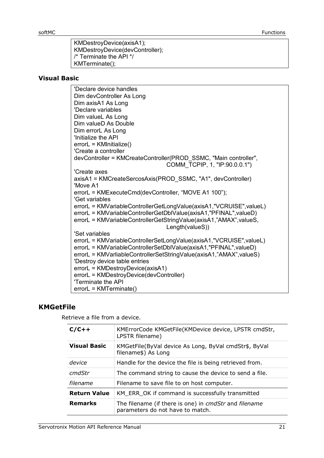KMDestroyDevice(axisA1); KMDestroyDevice(devController); /\* Terminate the API \*/ KMTerminate();

#### **Visual Basic**

'Declare device handles Dim devController As Long Dim axisA1 As Long 'Declare variables Dim valueL As Long Dim valueD As Double Dim errorL As Long 'Initialize the API errorL = KMInitialize() 'Create a controller devController = KMCreateController(PROD\_SSMC, "Main controller", COMM\_TCPIP, 1, "IP:90.0.0.1") 'Create axes axisA1 = KMCreateSercosAxis(PROD\_SSMC, "A1", devController) 'Move A1 errorL = KMExecuteCmd(devController, "MOVE A1 100"); 'Get variables errorL = KMVariableControllerGetLongValue(axisA1,"VCRUISE",valueL) errorL = KMVariableControllerGetDblValue(axisA1,"PFINAL",valueD) errorL = KMVariableControllerGetStringValue(axisA1,"AMAX",valueS, Length(valueS)) 'Set variables errorL = KMVariableControllerSetLongValue(axisA1,"VCRUISE",valueL) errorL = KMVariableControllerSetDblValue(axisA1,"PFINAL",valueD) errorL = KMVarliableControllerSetStringValue(axisA1,"AMAX",valueS) 'Destroy device table entries errorL = KMDestroyDevice(axisA1) errorL = KMDestroyDevice(devController) 'Terminate the API errorL = KMTerminate()

#### <span id="page-20-0"></span>**KMGetFile**

Retrieve a file from a device.

| $C/C++$             | KMErrorCode KMGetFile(KMDevice device, LPSTR cmdStr,<br>LPSTR filename)                   |
|---------------------|-------------------------------------------------------------------------------------------|
| <b>Visual Basic</b> | KMGetFile(ByVal device As Long, ByVal cmdStr\$, ByVal<br>filename\$) As Long              |
| device              | Handle for the device the file is being retrieved from.                                   |
| cmdStr              | The command string to cause the device to send a file.                                    |
| filename            | Filename to save file to on host computer.                                                |
| <b>Return Value</b> | KM_ERR_OK if command is successfully transmitted                                          |
| <b>Remarks</b>      | The filename (if there is one) in cmdStr and filename<br>parameters do not have to match. |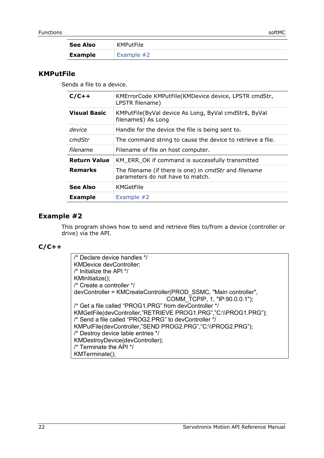| <b>See Also</b> | KMPutFile    |
|-----------------|--------------|
| <b>Example</b>  | Example $#2$ |

#### <span id="page-21-0"></span>**KMPutFile**

Sends a file to a device.

| $C/C++$             |                                                                                           |
|---------------------|-------------------------------------------------------------------------------------------|
|                     | KMErrorCode KMPutFile(KMDevice device, LPSTR cmdStr,<br>LPSTR filename)                   |
| <b>Visual Basic</b> | KMPutFile(ByVal device As Long, ByVal cmdStr\$, ByVal<br>filename\$) As Long              |
| device              | Handle for the device the file is being sent to.                                          |
| cmdStr              | The command string to cause the device to retrieve a file.                                |
| filename            | Filename of file on host computer.                                                        |
| <b>Return Value</b> | KM ERR OK if command is successfully transmitted                                          |
| <b>Remarks</b>      | The filename (if there is one) in cmdStr and filename<br>parameters do not have to match. |
| <b>See Also</b>     | KMGetFile                                                                                 |
| <b>Example</b>      | Example #2                                                                                |

#### <span id="page-21-1"></span>**Example #2**

This program shows how to send and retrieve files to/from a device (controller or drive) via the API.

#### **C/C++**

/\* Declare device handles \*/ KMDevice devController; /\* Initialize the API \*/ KMInitialize(); /\* Create a controller \*/ devController = KMCreateController(PROD\_SSMC, "Main controller", COMM\_TCPIP, 1, "IP:90.0.0.1"); /\* Get a file called "PROG1.PRG" from devController \*/ KMGetFile(devController,"RETRIEVE PROG1.PRG","C:\\PROG1.PRG"); /\* Send a file called "PROG2.PRG" to devController \*/ KMPutFile(devController,"SEND PROG2.PRG","C:\\PROG2.PRG"); /\* Destroy device table entries \*/ KMDestroyDevice(devController); /\* Terminate the API \*/ KMTerminate();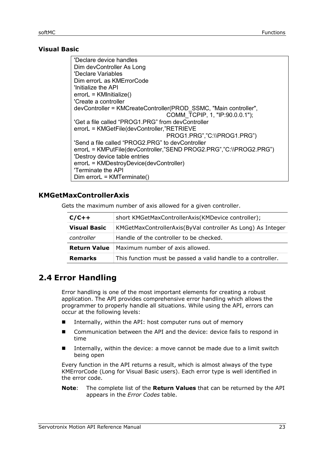#### **Visual Basic**

| 'Declare device handles                                            |
|--------------------------------------------------------------------|
| Dim devController As Long                                          |
| 'Declare Variables                                                 |
| Dim errorL as KMErrorCode                                          |
| 'Initialize the API                                                |
| $errorL = KMinitalize()$                                           |
| 'Create a controller                                               |
| devController = KMCreateController(PROD SSMC, "Main controller",   |
| COMM TCPIP, 1, "IP:90.0.0.1");                                     |
| 'Get a file called "PROG1.PRG" from devController                  |
| errorL = KMGetFile(devController,"RETRIEVE                         |
| PROG1.PRG","C:\\PROG1.PRG")                                        |
| 'Send a file called "PROG2.PRG" to devController                   |
| errorL = KMPutFile(devController,"SEND PROG2.PRG","C:\\PROG2.PRG") |
| 'Destroy device table entries                                      |
| errorL = KMDestroyDevice(devController)                            |
| 'Terminate the API                                                 |
| $Dim$ error $L = KMT$ erminate()                                   |
|                                                                    |

#### <span id="page-22-0"></span>**KMGetMaxControllerAxis**

Gets the maximum number of axis allowed for a given controller.

| $C/C++$             | short KMGetMaxControllerAxis(KMDevice controller);           |
|---------------------|--------------------------------------------------------------|
| <b>Visual Basic</b> | KMGetMaxControllerAxis(ByVal controller As Long) As Integer  |
| controller          | Handle of the controller to be checked.                      |
| <b>Return Value</b> | Maximum number of axis allowed.                              |
| <b>Remarks</b>      | This function must be passed a valid handle to a controller. |

# <span id="page-22-1"></span>**2.4 Error Handling**

Error handling is one of the most important elements for creating a robust application. The API provides comprehensive error handling which allows the programmer to properly handle all situations. While using the API, errors can occur at the following levels:

- Internally, within the API: host computer runs out of memory
- Communication between the API and the device: device fails to respond in time
- Internally, within the device: a move cannot be made due to a limit switch being open

Every function in the API returns a result, which is almost always of the type KMErrorCode (Long for Visual Basic users). Each error type is well identified in the error code.

**Note**: The complete list of the **Return Values** that can be returned by the API appears in the *[Error Codes](#page-8-0)* table.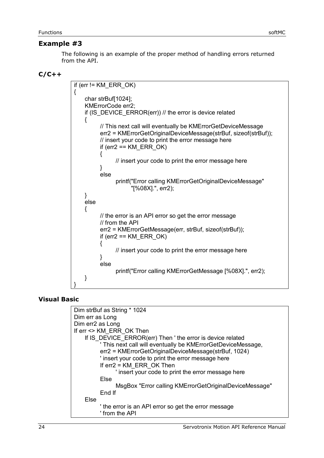#### <span id="page-23-0"></span>**Example #3**

The following is an example of the proper method of handling errors returned from the API.

#### **C/C++**

| if (err != $KM$ ERR OK)                                                                                                |
|------------------------------------------------------------------------------------------------------------------------|
| {<br>char strBuf[1024];                                                                                                |
| KMErrorCode err2;                                                                                                      |
|                                                                                                                        |
| if (IS_DEVICE_ERROR(err)) // the error is device related                                                               |
| ì<br>// This next call will eventually be KMErrorGetDeviceMessage                                                      |
| err2 = KMErrorGetOriginalDeviceMessage(strBuf, sizeof(strBuf));<br>// insert your code to print the error message here |
| if (err2 == $KM$ ERR OK)                                                                                               |
| // insert your code to print the error message here                                                                    |
|                                                                                                                        |
| else                                                                                                                   |
| printf("Error calling KMErrorGetOriginalDeviceMessage"<br>"[%08X].", err2);                                            |
|                                                                                                                        |
| else                                                                                                                   |
|                                                                                                                        |
| {                                                                                                                      |
| // the error is an API error so get the error message<br>// from the API                                               |
|                                                                                                                        |
| err2 = KMErrorGetMessage(err, strBuf, sizeof(strBuf));<br>if (err2 == $KM$ ERR OK)                                     |
|                                                                                                                        |
| // insert your code to print the error message here                                                                    |
| else                                                                                                                   |
| printf("Error calling KMErrorGetMessage [%08X].", err2);                                                               |
|                                                                                                                        |
|                                                                                                                        |

#### **Visual Basic**

| Dim strBuf as String * 1024                                          |
|----------------------------------------------------------------------|
| Dim err as Long                                                      |
| Dim err2 as Long                                                     |
| If err <> KM ERR OK Then                                             |
| If IS DEVICE ERROR(err) Then ' the error is device related           |
| ' This next call will eventually be KMErrorGetDeviceMessage,         |
| err2 = KMErrorGetOriginalDeviceMessage(strBuf, 1024)                 |
| ' insert your code to print the error message here                   |
| If $err2 = KM$ ERR OK Then                                           |
| ' insert your code to print the error message here                   |
| Else                                                                 |
| MsgBox "Error calling KMErrorGetOriginalDeviceMessage"               |
| End If                                                               |
| Else                                                                 |
| the error is an API error so get the error message<br>' from the API |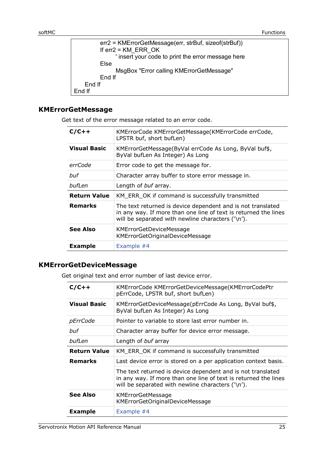| err2 = KMErrorGetMessage(err, strBuf, sizeof(strBuf)) |  |
|-------------------------------------------------------|--|
| If $err2 = KM$ ERR OK                                 |  |
| ' insert your code to print the error message here    |  |
| Else                                                  |  |
| MsgBox "Error calling KMErrorGetMessage"              |  |
| End If                                                |  |
| End If                                                |  |
| End If                                                |  |
|                                                       |  |

#### <span id="page-24-0"></span>**KMErrorGetMessage**

Get text of the error message related to an error code.

| $C/C++$             | KMErrorCode KMErrorGetMessage(KMErrorCode errCode,<br>LPSTR buf, short bufLen)                                                                                                       |
|---------------------|--------------------------------------------------------------------------------------------------------------------------------------------------------------------------------------|
| <b>Visual Basic</b> | KMErrorGetMessage(ByVal errCode As Long, ByVal buf\$,<br>ByVal bufLen As Integer) As Long                                                                                            |
| errCode             | Error code to get the message for.                                                                                                                                                   |
| buf                 | Character array buffer to store error message in.                                                                                                                                    |
| bufLen              | Length of buf array.                                                                                                                                                                 |
| <b>Return Value</b> | KM ERR OK if command is successfully transmitted                                                                                                                                     |
| <b>Remarks</b>      | The text returned is device dependent and is not translated<br>in any way. If more than one line of text is returned the lines<br>will be separated with newline characters $('n').$ |
| <b>See Also</b>     | <b>KMErrorGetDeviceMessage</b><br>KMErrorGetOriginalDeviceMessage                                                                                                                    |
| <b>Example</b>      | Example #4                                                                                                                                                                           |

#### <span id="page-24-1"></span>**KMErrorGetDeviceMessage**

Get original text and error number of last device error.

| $C/C++$             | KMErrorCode KMErrorGetDeviceMessage(KMErrorCodePtr<br>pErrCode, LPSTR buf, short bufLen)                                                                                             |
|---------------------|--------------------------------------------------------------------------------------------------------------------------------------------------------------------------------------|
| <b>Visual Basic</b> | KMErrorGetDeviceMessage(pErrCode As Long, ByVal buf\$,<br>ByVal bufLen As Integer) As Long                                                                                           |
| pErrCode            | Pointer to variable to store last error number in.                                                                                                                                   |
| buf                 | Character array buffer for device error message.                                                                                                                                     |
| bufLen              | Length of buf array                                                                                                                                                                  |
| <b>Return Value</b> | KM_ERR_OK if command is successfully transmitted                                                                                                                                     |
| <b>Remarks</b>      | Last device error is stored on a per application context basis.                                                                                                                      |
|                     | The text returned is device dependent and is not translated<br>in any way. If more than one line of text is returned the lines<br>will be separated with newline characters $('n').$ |
| <b>See Also</b>     | <b>KMErrorGetMessage</b><br>KMErrorGetOriginalDeviceMessage                                                                                                                          |
| <b>Example</b>      | Example #4                                                                                                                                                                           |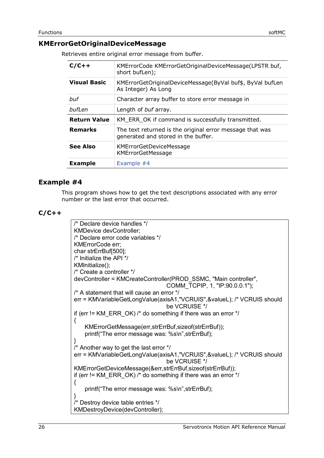#### <span id="page-25-0"></span>**KMErrorGetOriginalDeviceMessage**

Retrieves entire original error message from buffer.

| $C/C++$             | KMErrorCode KMErrorGetOriginalDeviceMessage(LPSTR buf,<br>short bufLen);                        |
|---------------------|-------------------------------------------------------------------------------------------------|
| <b>Visual Basic</b> | KMErrorGetOriginalDeviceMessage(ByVal buf\$, ByVal bufLen<br>As Integer) As Long                |
| buf                 | Character array buffer to store error message in                                                |
| bufLen              | Length of buf array.                                                                            |
| <b>Return Value</b> | KM ERR OK if command is successfully transmitted.                                               |
| <b>Remarks</b>      | The text returned is the original error message that was<br>generated and stored in the buffer. |
| <b>See Also</b>     | <b>KMErrorGetDeviceMessage</b><br><b>KMErrorGetMessage</b>                                      |
| <b>Example</b>      | Example #4                                                                                      |

#### <span id="page-25-1"></span>**Example #4**

This program shows how to get the text descriptions associated with any error number or the last error that occurred.

**C/C++**

```
/* Declare device handles */ 
KMDevice devController;
/* Declare error code variables */
KMErrorCode err;
char strErrBuf[500];
/* Initialize the API */
KMInitialize();
/* Create a controller */
devController = KMCreateController(PROD_SSMC, "Main controller", 
                                  COMM_TCPIP, 1, "IP:90.0.0.1");
/* A statement that will cause an error */
err = KMVariableGetLongValue(axisA1,"VCRUIS",&valueL); /* VCRUIS should
                                  be VCRUISE */
if (err != KM_ERR_OK) /* do something if there was an error \gamma/
{ 
    KMErrorGetMessage(err,strErrBuf,sizeof(strErrBuf));
   printf("The error message was: %s\n",strErrBuf);
} 
/* Another way to get the last error */
err = KMVariableGetLongValue(axisA1,"VCRUIS",&valueL); /* VCRUIS should
                                  be VCRUISE */
KMErrorGetDeviceMessage(&err,strErrBuf,sizeof(strErrBuf));
if (err != KM_ERR_OK) /* do something if there was an error */{ 
    printf("The error message was: %s\n",strErrBuf);
} 
/* Destroy device table entries */
KMDestroyDevice(devController);
```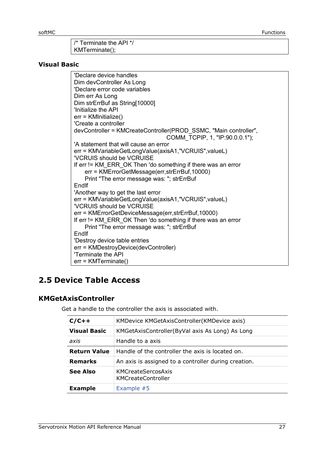| $\frac{1}{1}$ /* Terminate the API */ |
|---------------------------------------|
| $\vert$ KMTerminate();                |

#### **Visual Basic**

'Declare device handles Dim devController As Long 'Declare error code variables Dim err As Long Dim strErrBuf as String[10000] 'Initialize the API err = KMInitialize() 'Create a controller devController = KMCreateController(PROD\_SSMC, "Main controller", COMM\_TCPIP, 1, "IP:90.0.0.1"); 'A statement that will cause an error err = KMVariableGetLongValue(axisA1,"VCRUIS",valueL) 'VCRUIS should be VCRUISE If err != KM\_ERR\_OK Then 'do something if there was an error err = KMErrorGetMessage(err,strErrBuf,10000) Print "The error message was: "; strErrBuf EndIf 'Another way to get the last error err = KMVariableGetLongValue(axisA1,"VCRUIS",valueL) 'VCRUIS should be VCRUISE err = KMErrorGetDeviceMessage(err,strErrBuf,10000) If err != KM\_ERR\_OK Then 'do something if there was an error Print "The error message was: "; strErrBuf **End**If 'Destroy device table entries err = KMDestroyDevice(devController) 'Terminate the API err = KMTerminate()

# <span id="page-26-0"></span>**2.5 Device Table Access**

#### <span id="page-26-1"></span>**KMGetAxisController**

Get a handle to the controller the axis is associated with.

| $C/C++$             | KMDevice KMGetAxisController(KMDevice axis)          |
|---------------------|------------------------------------------------------|
| <b>Visual Basic</b> | KMGetAxisController(ByVal axis As Long) As Long      |
| axis                | Handle to a axis                                     |
| <b>Return Value</b> | Handle of the controller the axis is located on.     |
| <b>Remarks</b>      | An axis is assigned to a controller during creation. |
| See Also            | KMCreateSercosAxis<br><b>KMCreateController</b>      |
| <b>Example</b>      | Example #5                                           |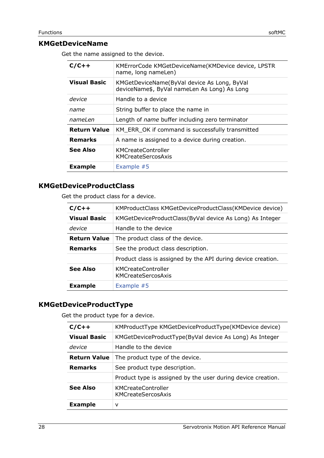<span id="page-27-0"></span>Get the name assigned to the device.

| $C/C++$             | KMErrorCode KMGetDeviceName(KMDevice device, LPSTR<br>name, long nameLen)                   |
|---------------------|---------------------------------------------------------------------------------------------|
| <b>Visual Basic</b> | KMGetDeviceName(ByVal device As Long, ByVal<br>deviceName\$, ByVal nameLen As Long) As Long |
| device              | Handle to a device                                                                          |
| name                | String buffer to place the name in                                                          |
| nameLen             | Length of <i>name</i> buffer including zero terminator                                      |
| <b>Return Value</b> | KM ERR OK if command is successfully transmitted                                            |
| <b>Remarks</b>      | A name is assigned to a device during creation.                                             |
| See Also            | <b>KMCreateController</b><br>KMCreateSercosAxis                                             |
| <b>Example</b>      | Example $#5$                                                                                |

#### <span id="page-27-1"></span>**KMGetDeviceProductClass**

Get the product class for a device.

| $C/C++$             | KMProductClass KMGetDeviceProductClass(KMDevice device)      |
|---------------------|--------------------------------------------------------------|
| <b>Visual Basic</b> | KMGetDeviceProductClass(ByVal device As Long) As Integer     |
| device              | Handle to the device                                         |
| <b>Return Value</b> | The product class of the device.                             |
| <b>Remarks</b>      | See the product class description.                           |
|                     | Product class is assigned by the API during device creation. |
| <b>See Also</b>     | <b>KMCreateController</b><br>KMCreateSercosAxis              |
| <b>Example</b>      | Example #5                                                   |

### <span id="page-27-2"></span>**KMGetDeviceProductType**

Get the product type for a device.

| $C/C++$             | KMProductType KMGetDeviceProductType(KMDevice device)        |
|---------------------|--------------------------------------------------------------|
| <b>Visual Basic</b> | KMGetDeviceProductType(ByVal device As Long) As Integer      |
| device              | Handle to the device                                         |
| <b>Return Value</b> | The product type of the device.                              |
| <b>Remarks</b>      | See product type description.                                |
|                     | Product type is assigned by the user during device creation. |
| <b>See Also</b>     | <b>KMCreateController</b><br>KMCreateSercosAxis              |
| <b>Example</b>      | v                                                            |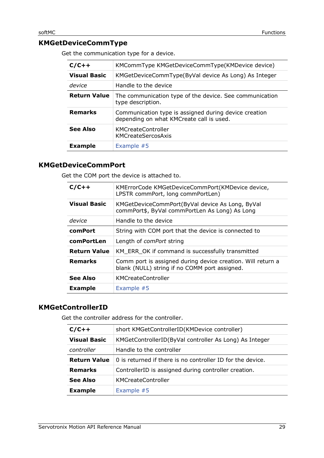# <span id="page-28-0"></span>**KMGetDeviceCommType**

Get the communication type for a device.

| $C/C++$             | KMCommType KMGetDeviceCommType(KMDevice device)                                                   |
|---------------------|---------------------------------------------------------------------------------------------------|
| <b>Visual Basic</b> | KMGetDeviceCommType(ByVal device As Long) As Integer                                              |
| device              | Handle to the device                                                                              |
| <b>Return Value</b> | The communication type of the device. See communication<br>type description.                      |
| <b>Remarks</b>      | Communication type is assigned during device creation<br>depending on what KMCreate call is used. |
| See Also            | <b>KMCreateController</b><br>KMCreateSercosAxis                                                   |
| <b>Example</b>      | Example #5                                                                                        |

#### <span id="page-28-1"></span>**KMGetDeviceCommPort**

Get the COM port the device is attached to.

| $C/C++$             | KMErrorCode KMGetDeviceCommPort(KMDevice device,<br>LPSTR commPort, long commPortLen)                        |
|---------------------|--------------------------------------------------------------------------------------------------------------|
| <b>Visual Basic</b> | KMGetDeviceCommPort(ByVal device As Long, ByVal<br>commPort\$, ByVal commPortLen As Long) As Long            |
| device              | Handle to the device                                                                                         |
| comPort             | String with COM port that the device is connected to                                                         |
| comPortLen          | Length of <i>comPort</i> string                                                                              |
| <b>Return Value</b> | KM ERR OK if command is successfully transmitted                                                             |
| <b>Remarks</b>      | Comm port is assigned during device creation. Will return a<br>blank (NULL) string if no COMM port assigned. |
| <b>See Also</b>     | <b>KMCreateController</b>                                                                                    |
| <b>Example</b>      | Example $#5$                                                                                                 |

#### <span id="page-28-2"></span>**KMGetControllerID**

Get the controller address for the controller.

| $C/C++$             | short KMGetControllerID(KMDevice controller)               |
|---------------------|------------------------------------------------------------|
| <b>Visual Basic</b> | KMGetControllerID(ByVal controller As Long) As Integer     |
| controller          | Handle to the controller                                   |
| <b>Return Value</b> | 0 is returned if there is no controller ID for the device. |
| <b>Remarks</b>      | ControllerID is assigned during controller creation.       |
| <b>See Also</b>     | <b>KMCreateController</b>                                  |
| <b>Example</b>      | Example #5                                                 |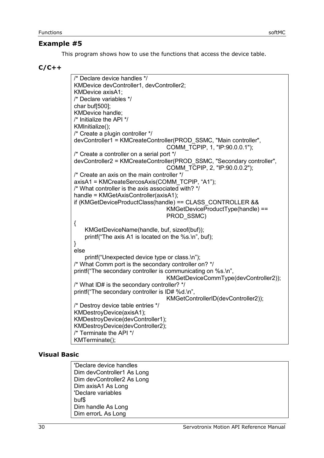#### <span id="page-29-0"></span>**Example #5**

This program shows how to use the functions that access the device table.

#### **C/C++**

/\* Declare device handles \*/ KMDevice devController1, devController2; KMDevice axisA1; /\* Declare variables \*/ char buf[500]; KMDevice handle; /\* Initialize the API \*/ KMInitialize(); /\* Create a plugin controller \*/ devController1 = KMCreateController(PROD\_SSMC, "Main controller", COMM\_TCPIP, 1, "IP:90.0.0.1"); /\* Create a controller on a serial port \*/ devController2 = KMCreateController(PROD\_SSMC, "Secondary controller", COMM\_TCPIP, 2, "IP:90.0.0.2"); /\* Create an axis on the main controller \*/ axisA1 = KMCreateSercosAxis(COMM\_TCPIP, "A1"); /\* What controller is the axis associated with? \*/ handle = KMGetAxisController(axisA1); if (KMGetDeviceProductClass(handle) == CLASS\_CONTROLLER && KMGetDeviceProductType(handle) == PROD\_SSMC) { KMGetDeviceName(handle, buf, sizeof(buf)); printf("The axis A1 is located on the %s.\n", buf); } else printf("Unexpected device type or class.\n"); /\* What Comm port is the secondary controller on? \*/ printf("The secondary controller is communicating on %s.\n", KMGetDeviceCommType(devController2)); /\* What ID# is the secondary controller? \*/ printf("The secondary controller is ID# %d.\n", KMGetControllerID(devController2)); /\* Destroy device table entries \*/ KMDestroyDevice(axisA1); KMDestroyDevice(devController1); KMDestroyDevice(devController2); /\* Terminate the API \*/ KMTerminate();

#### **Visual Basic**

'Declare device handles Dim devController1 As Long Dim devController2 As Long Dim axisA1 As Long 'Declare variables buf\$ Dim handle As Long Dim errorL As Long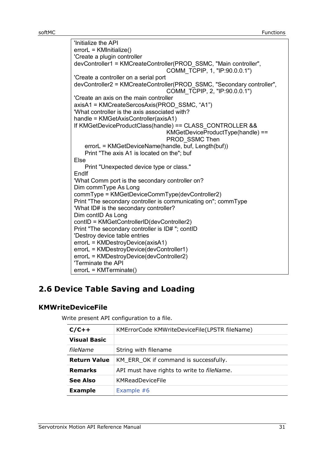'Initialize the API errorL = KMInitialize() 'Create a plugin controller devController1 = KMCreateController(PROD\_SSMC, "Main controller", COMM\_TCPIP, 1, "IP:90.0.0.1") 'Create a controller on a serial port devController2 = KMCreateController(PROD\_SSMC, "Secondary controller", COMM\_TCPIP, 2, "IP:90.0.0.1") 'Create an axis on the main controller axisA1 = KMCreateSercosAxis(PROD\_SSMC, "A1") 'What controller is the axis associated with? handle = KMGetAxisController(axisA1) If KMGetDeviceProductClass(handle) == CLASS\_CONTROLLER && KMGetDeviceProductType(handle) == PROD\_SSMC Then errorL = KMGetDeviceName(handle, buf, Length(buf)) Print "The axis A1 is located on the"; buf Else Print "Unexpected device type or class." EndIf 'What Comm port is the secondary controller on? Dim commType As Long commType = KMGetDeviceCommType(devController2) Print "The secondary controller is communicating on"; commType 'What ID# is the secondary controller? Dim contID As Long contID = KMGetControllerID(devController2) Print "The secondary controller is ID# "; contID 'Destroy device table entries errorL = KMDestroyDevice(axisA1) errorL = KMDestroyDevice(devController1) errorL = KMDestroyDevice(devController2) 'Terminate the API errorL = KMTerminate()

# <span id="page-30-0"></span>**2.6 Device Table Saving and Loading**

#### <span id="page-30-1"></span>**KMWriteDeviceFile**

Write present API configuration to a file.

| $C/C++$             | KMErrorCode KMWriteDeviceFile(LPSTR fileName)      |
|---------------------|----------------------------------------------------|
| <b>Visual Basic</b> |                                                    |
| fileName            | String with filename                               |
| <b>Return Value</b> | KM_ERR_OK if command is successfully.              |
| <b>Remarks</b>      | API must have rights to write to <i>fileName</i> . |
| <b>See Also</b>     | KMReadDeviceFile                                   |
| <b>Example</b>      | Example #6                                         |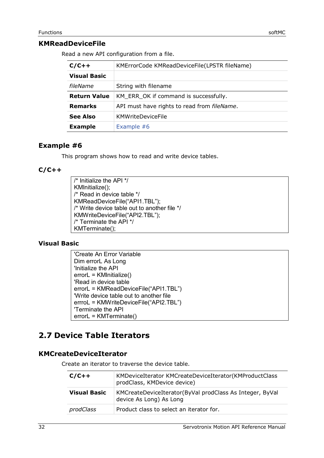#### <span id="page-31-0"></span>**KMReadDeviceFile**

Read a new API configuration from a file.

| $C/C++$             | KMErrorCode KMReadDeviceFile(LPSTR fileName) |  |
|---------------------|----------------------------------------------|--|
| <b>Visual Basic</b> |                                              |  |
| fileName            | String with filename                         |  |
| <b>Return Value</b> | KM ERR OK if command is successfully.        |  |
| <b>Remarks</b>      | API must have rights to read from fileName.  |  |
| <b>See Also</b>     | <b>KMWriteDeviceFile</b>                     |  |
| <b>Example</b>      | Example #6                                   |  |

#### <span id="page-31-1"></span>**Example #6**

This program shows how to read and write device tables.

#### **C/C++**

/\* Initialize the API \*/ KMInitialize(); /\* Read in device table \*/ KMReadDeviceFile("API1.TBL"); /\* Write device table out to another file \*/ KMWriteDeviceFile("API2.TBL"); /\* Terminate the API \*/ KMTerminate();

#### **Visual Basic**

'Create An Error Variable Dim errorL As Long 'Initialize the API errorL = KMInitialize() 'Read in device table errorL = KMReadDeviceFile("API1.TBL") 'Write device table out to another file errroL = KMWriteDeviceFile("API2.TBL") 'Terminate the API errorL = KMTerminate()

# <span id="page-31-2"></span>**2.7 Device Table Iterators**

#### <span id="page-31-3"></span>**KMCreateDeviceIterator**

Create an iterator to traverse the device table.

| $C/C++$      | KMDeviceIterator KMCreateDeviceIterator(KMProductClass<br>prodClass, KMDevice device) |
|--------------|---------------------------------------------------------------------------------------|
| Visual Basic | KMCreateDeviceIterator(ByVal prodClass As Integer, ByVal<br>device As Long) As Long   |
| prodClass    | Product class to select an iterator for.                                              |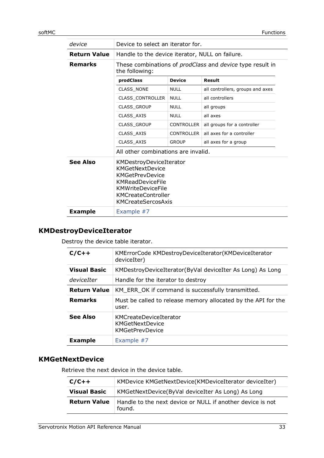| device              | Device to select an iterator for.                                                                                                                                                            |                   |                                  |
|---------------------|----------------------------------------------------------------------------------------------------------------------------------------------------------------------------------------------|-------------------|----------------------------------|
| <b>Return Value</b> | Handle to the device iterator, NULL on failure.                                                                                                                                              |                   |                                  |
| <b>Remarks</b>      | These combinations of <i>prodClass</i> and <i>device</i> type result in<br>the following:                                                                                                    |                   |                                  |
|                     | prodClass                                                                                                                                                                                    | <b>Device</b>     | Result                           |
|                     | <b>CLASS NONE</b>                                                                                                                                                                            | <b>NULL</b>       | all controllers, groups and axes |
|                     | <b>CLASS CONTROLLER</b>                                                                                                                                                                      | <b>NULL</b>       | all controllers                  |
|                     | <b>CLASS GROUP</b>                                                                                                                                                                           | <b>NULL</b>       | all groups                       |
|                     | CLASS AXIS                                                                                                                                                                                   | <b>NULL</b>       | all axes                         |
|                     | <b>CLASS GROUP</b>                                                                                                                                                                           | <b>CONTROLLER</b> | all groups for a controller      |
|                     | CLASS AXIS                                                                                                                                                                                   | <b>CONTROLLER</b> | all axes for a controller        |
|                     | CLASS_AXIS                                                                                                                                                                                   | <b>GROUP</b>      | all axes for a group             |
|                     | All other combinations are invalid.                                                                                                                                                          |                   |                                  |
| <b>See Also</b>     | KMDestroyDeviceIterator<br><b>KMGetNextDevice</b><br><b>KMGetPrevDevice</b><br><b>KMReadDeviceFile</b><br><b>KMWriteDeviceFile</b><br><b>KMCreateController</b><br><b>KMCreateSercosAxis</b> |                   |                                  |
| <b>Example</b>      | Example #7                                                                                                                                                                                   |                   |                                  |

# <span id="page-32-0"></span>**KMDestroyDeviceIterator**

Destroy the device table iterator.

| $C/C++$             | KMErrorCode KMDestroyDeviceIterator(KMDeviceIterator<br>deviceIter)    |
|---------------------|------------------------------------------------------------------------|
| <b>Visual Basic</b> | KMDestroyDeviceIterator(ByVal deviceIter As Long) As Long              |
| deviceIter          | Handle for the iterator to destroy                                     |
| <b>Return Value</b> | KM ERR OK if command is successfully transmitted.                      |
| <b>Remarks</b>      | Must be called to release memory allocated by the API for the<br>user. |
| <b>See Also</b>     | KMCreateDeviceIterator<br>KMGetNextDevice<br><b>KMGetPrevDevice</b>    |
| <b>Example</b>      | Example #7                                                             |

#### <span id="page-32-1"></span>**KMGetNextDevice**

Retrieve the next device in the device table.

| $C/C++$             | KMDevice KMGetNextDevice(KMDeviceIterator deviceIter)                |
|---------------------|----------------------------------------------------------------------|
| <b>Visual Basic</b> | KMGetNextDevice(ByVal deviceIter As Long) As Long                    |
| <b>Return Value</b> | Handle to the next device or NULL if another device is not<br>found. |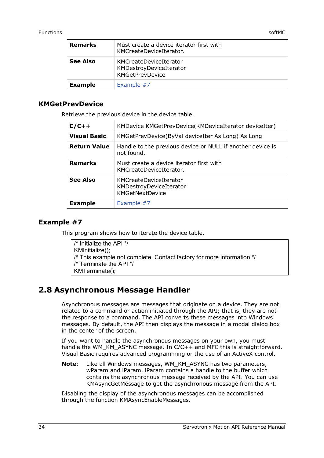| <b>Remarks</b> | Must create a device iterator first with<br>KMCreateDeviceIterator.         |
|----------------|-----------------------------------------------------------------------------|
| See Also       | KMCreateDeviceIterator<br>KMDestroyDeviceIterator<br><b>KMGetPrevDevice</b> |
| <b>Example</b> | Example #7                                                                  |

#### <span id="page-33-0"></span>**KMGetPrevDevice**

Retrieve the previous device in the device table.

| $C/C++$             | KMDevice KMGetPrevDevice(KMDeviceIterator deviceIter)                       |
|---------------------|-----------------------------------------------------------------------------|
| <b>Visual Basic</b> | KMGetPrevDevice(ByVal deviceIter As Long) As Long                           |
| <b>Return Value</b> | Handle to the previous device or NULL if another device is<br>not found.    |
| <b>Remarks</b>      | Must create a device iterator first with<br>KMCreateDeviceIterator.         |
| See Also            | KMCreateDeviceIterator<br>KMDestroyDeviceIterator<br><b>KMGetNextDevice</b> |
| <b>Example</b>      | Example #7                                                                  |
|                     |                                                                             |

#### <span id="page-33-1"></span>**Example #7**

This program shows how to iterate the device table.

| $\prime^*$ Initialize the API $^*$ /                                  |
|-----------------------------------------------------------------------|
| KMInitialize();                                                       |
| /* This example not complete. Contact factory for more information */ |
| /* Terminate the API */                                               |
| $KMTerminate()$ ;                                                     |

# <span id="page-33-2"></span>**2.8 Asynchronous Message Handler**

Asynchronous messages are messages that originate on a device. They are not related to a command or action initiated through the API; that is, they are not the response to a command. The API converts these messages into Windows messages. By default, the API then displays the message in a modal dialog box in the center of the screen.

If you want to handle the asynchronous messages on your own, you must handle the WM\_KM\_ASYNC message. In  $C/C++$  and MFC this is straightforward. Visual Basic requires advanced programming or the use of an ActiveX control.

**Note**: Like all Windows messages, WM\_KM\_ASYNC has two parameters, wParam and lParam. lParam contains a handle to the buffer which contains the asynchronous message received by the API. You can use KMAsyncGetMessage to get the asynchronous message from the API.

Disabling the display of the asynchronous messages can be accomplished through the function KMAsyncEnableMessages.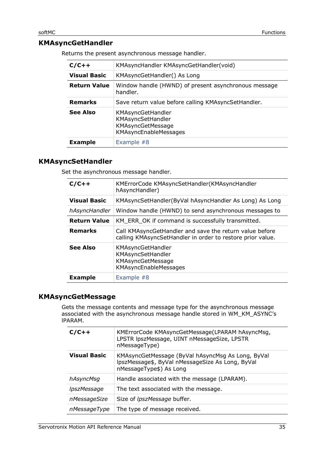# <span id="page-34-0"></span>**KMAsyncGetHandler**

Returns the present asynchronous message handler.

| $C/C++$             | KMAsyncHandler KMAsyncGetHandler(void)                                                      |  |
|---------------------|---------------------------------------------------------------------------------------------|--|
| <b>Visual Basic</b> | KMAsyncGetHandler() As Long                                                                 |  |
| <b>Return Value</b> | Window handle (HWND) of present asynchronous message<br>handler.                            |  |
| <b>Remarks</b>      | Save return value before calling KMAsyncSetHandler.                                         |  |
| <b>See Also</b>     | KMAsyncGetHandler<br>KMAsyncSetHandler<br>KMAsyncGetMessage<br><b>KMAsyncEnableMessages</b> |  |
| <b>Example</b>      | Example #8                                                                                  |  |

#### <span id="page-34-1"></span>**KMAsyncSetHandler**

Set the asynchronous message handler.

| $C/C++$             | KMErrorCode KMAsyncSetHandler(KMAsyncHandler<br>hAsyncHandler)                                                        |
|---------------------|-----------------------------------------------------------------------------------------------------------------------|
| <b>Visual Basic</b> | KMAsyncSetHandler(ByVal hAsyncHandler As Long) As Long                                                                |
| hAsyncHandler       | Window handle (HWND) to send asynchronous messages to                                                                 |
| <b>Return Value</b> | KM ERR OK if command is successfully transmitted.                                                                     |
| <b>Remarks</b>      | Call KMAsyncGetHandler and save the return value before<br>calling KMAsyncSetHandler in order to restore prior value. |
| <b>See Also</b>     | KMAsyncGetHandler<br>KMAsyncSetHandler<br>KMAsyncGetMessage<br>KMAsyncEnableMessages                                  |
| <b>Example</b>      | Example #8                                                                                                            |

#### <span id="page-34-2"></span>**KMAsyncGetMessage**

Gets the message contents and message type for the asynchronous message associated with the asynchronous message handle stored in WM\_KM\_ASYNC's lPARAM.

| $C/C++$             | KMErrorCode KMAsyncGetMessage(LPARAM hAsyncMsg,<br>LPSTR IpszMessage, UINT nMessageSize, LPSTR<br>nMessageType)                  |
|---------------------|----------------------------------------------------------------------------------------------------------------------------------|
| <b>Visual Basic</b> | KMAsyncGetMessage (ByVal hAsyncMsg As Long, ByVal<br>IpszMessage\$, ByVal nMessageSize As Long, ByVal<br>nMessageType\$) As Long |
| hAsyncMsg           | Handle associated with the message (LPARAM).                                                                                     |
| lpszMessage         | The text associated with the message.                                                                                            |
| nMessageSize        | Size of <i>lpszMessage</i> buffer.                                                                                               |
| nMessageType        | The type of message received.                                                                                                    |
|                     |                                                                                                                                  |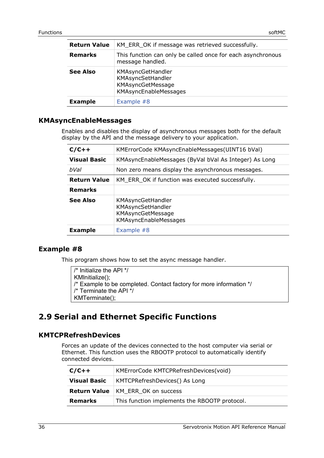| <b>Return Value</b> | KM ERR OK if message was retrieved successfully.                                     |
|---------------------|--------------------------------------------------------------------------------------|
| <b>Remarks</b>      | This function can only be called once for each asynchronous<br>message handled.      |
| See Also            | KMAsyncGetHandler<br>KMAsyncSetHandler<br>KMAsyncGetMessage<br>KMAsyncEnableMessages |
| <b>Example</b>      | Example #8                                                                           |

#### <span id="page-35-0"></span>**KMAsyncEnableMessages**

Enables and disables the display of asynchronous messages both for the default display by the API and the message delivery to your application.

| $C/C++$             | KMErrorCode KMAsyncEnableMessages(UINT16 bVal)                                       |
|---------------------|--------------------------------------------------------------------------------------|
| <b>Visual Basic</b> | KMAsyncEnableMessages (ByVal bVal As Integer) As Long                                |
| bVal                | Non zero means display the asynchronous messages.                                    |
| <b>Return Value</b> | KM_ERR_OK if function was executed successfully.                                     |
| <b>Remarks</b>      |                                                                                      |
| <b>See Also</b>     | KMAsyncGetHandler<br>KMAsyncSetHandler<br>KMAsyncGetMessage<br>KMAsyncEnableMessages |
| <b>Example</b>      | Example #8                                                                           |

#### <span id="page-35-1"></span>**Example #8**

This program shows how to set the async message handler.

/\* Initialize the API \*/ KMInitialize(); /\* Example to be completed. Contact factory for more information \*/ /\* Terminate the API \*/ KMTerminate();

# <span id="page-35-2"></span>**2.9 Serial and Ethernet Specific Functions**

#### <span id="page-35-3"></span>**KMTCPRefreshDevices**

Forces an update of the devices connected to the host computer via serial or Ethernet. This function uses the RBOOTP protocol to automatically identify connected devices.

| $C/C++$             | KMErrorCode KMTCPRefreshDevices(void)         |
|---------------------|-----------------------------------------------|
| <b>Visual Basic</b> | KMTCPRefreshDevices() As Long                 |
|                     | <b>Return Value</b>   KM ERR OK on success    |
| <b>Remarks</b>      | This function implements the RBOOTP protocol. |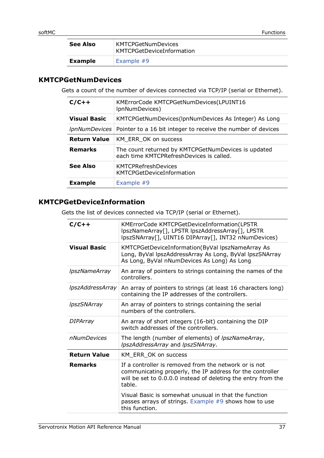| See Also       | <b>KMTCPGetNumDevices</b><br>KMTCPGetDeviceInformation |
|----------------|--------------------------------------------------------|
| <b>Example</b> | Example $#9$                                           |

#### <span id="page-36-0"></span>**KMTCPGetNumDevices**

Gets a count of the number of devices connected via TCP/IP (serial or Ethernet).

| $C/C++$              | KMErrorCode KMTCPGetNumDevices(LPUINT16<br>IpnNumDevices)                                       |
|----------------------|-------------------------------------------------------------------------------------------------|
| <b>Visual Basic</b>  | KMTCPGetNumDevices(IpnNumDevices As Integer) As Long                                            |
| <i>IpnNumDevices</i> | Pointer to a 16 bit integer to receive the number of devices                                    |
| <b>Return Value</b>  | KM ERR OK on success                                                                            |
| <b>Remarks</b>       | The count returned by KMTCPGetNumDevices is updated<br>each time KMTCPRefreshDevices is called. |
| See Also             | <b>KMTCPRefreshDevices</b><br><b>KMTCPGetDeviceInformation</b>                                  |
| <b>Example</b>       | Example #9                                                                                      |

# <span id="page-36-1"></span>**KMTCPGetDeviceInformation**

Gets the list of devices connected via TCP/IP (serial or Ethernet).

| $C/C++$                   | KMErrorCode KMTCPGetDeviceInformation(LPSTR<br>lpszNameArray[], LPSTR lpszAddressArray[], LPSTR<br>lpszSNArray[], UINT16 DIPArray[], INT32 nNumDevices)                                       |
|---------------------------|-----------------------------------------------------------------------------------------------------------------------------------------------------------------------------------------------|
| <b>Visual Basic</b>       | KMTCPGetDeviceInformation(ByVal lpszNameArray As<br>Long, ByVal lpszAddressArray As Long, ByVal lpszSNArray<br>As Long, ByVal nNumDevices As Long) As Long                                    |
| <i>IpszNameArray</i>      | An array of pointers to strings containing the names of the<br>controllers.                                                                                                                   |
| <i>IpszAddressArray</i>   | An array of pointers to strings (at least 16 characters long)<br>containing the IP addresses of the controllers.                                                                              |
| <i><b>IpszSNArray</b></i> | An array of pointers to strings containing the serial<br>numbers of the controllers.                                                                                                          |
| <b>DIPArray</b>           | An array of short integers (16-bit) containing the DIP<br>switch addresses of the controllers.                                                                                                |
| nNumDevices               | The length (number of elements) of <i>lpszNameArray</i> ,<br>IpszAddressArray and IpszSNArray.                                                                                                |
| <b>Return Value</b>       | KM_ERR_OK on success                                                                                                                                                                          |
| <b>Remarks</b>            | If a controller is removed from the network or is not<br>communicating properly, the IP address for the controller<br>will be set to 0.0.0.0 instead of deleting the entry from the<br>table. |
|                           | Visual Basic is somewhat unusual in that the function<br>passes arrays of strings. Example $#9$ shows how to use<br>this function.                                                            |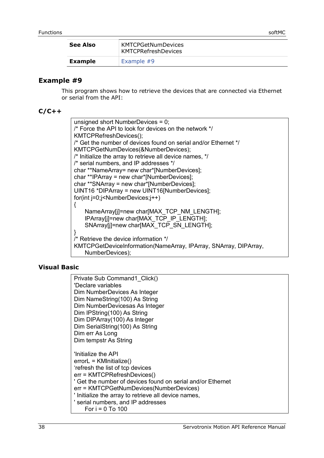| See Also       | <b>KMTCPGetNumDevices</b><br><b>KMTCPRefreshDevices</b> |
|----------------|---------------------------------------------------------|
| <b>Example</b> | Example $#9$                                            |

#### <span id="page-37-0"></span>**Example #9**

This program shows how to retrieve the devices that are connected via Ethernet or serial from the API:

#### **C/C++**

unsigned short NumberDevices = 0; /\* Force the API to look for devices on the network \*/ KMTCPRefreshDevices(); /\* Get the number of devices found on serial and/or Ethernet \*/ KMTCPGetNumDevices(&NumberDevices); /\* Initialize the array to retrieve all device names, \*/ /\* serial numbers, and IP addresses \*/ char \*\*NameArray= new char\*[NumberDevices]; char \*\*IPArray = new char\*[NumberDevices]; char \*\*SNArray = new char\*[NumberDevices]; UINT16 \*DIPArray = new UINT16[NumberDevices]; for(int j=0;j<NumberDevices;j++) { NameArray[j]=new char[MAX\_TCP\_NM\_LENGTH]; IPArray[j]=new char[MAX\_TCP\_IP\_LENGTH]; SNArray[i]=new char[MAX\_TCP\_SN\_LENGTH]; } /\* Retrieve the device information \*/ KMTCPGetDeviceInformation(NameArray, IPArray, SNArray, DIPArray, NumberDevices);

#### **Visual Basic**

| Private Sub Command1 Click()                                |
|-------------------------------------------------------------|
| 'Declare variables                                          |
| Dim NumberDevices As Integer                                |
| Dim NameString(100) As String                               |
| Dim NumberDevicesas As Integer                              |
| Dim IPString(100) As String                                 |
| Dim DIPArray(100) As Integer                                |
| Dim SerialString(100) As String                             |
| Dim err As Long                                             |
| Dim tempstr As String                                       |
|                                                             |
| 'Initialize the API                                         |
| $errorL = KMinitalize()$                                    |
| frefresh the list of top devices                            |
| err = KMTCPRefreshDevices()                                 |
| ' Get the number of devices found on serial and/or Ethernet |
| err = KMTCPGetNumDevices(NumberDevices)                     |
| ' Initialize the array to retrieve all device names,        |
| ' serial numbers, and IP addresses                          |
|                                                             |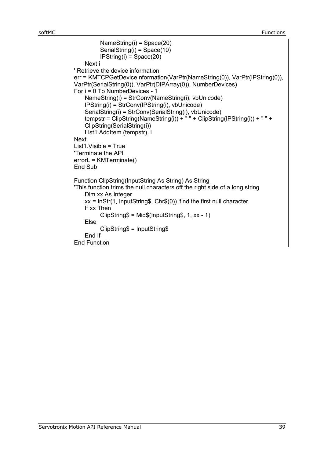```
 NameString(i) = Space(20)
           SerialString(i) = Space(10)
           IPString(i) = Space(20)
    Next i
' Retrieve the device information
err = KMTCPGetDeviceInformation(VarPtr(NameString(0)), VarPtr(IPString(0)),
VarPtr(SerialString(0)), VarPtr(DIPArray(0)), NumberDevices)
For i = 0 To NumberDevices - 1 
    NameString(i) = StrConv(NameString(i), vbUnicode)
    IPString(i) = StrConv(IPString(i), vbUnicode)
    SerialString(i) = StrConv(SerialString(i), vbUnicode)
    tempstr = \text{ClipString}(\text{NameString(i)}) + \text{``" + } \text{ClipString}(\text{IPString(i)}) + \text{'' " + }ClipString(SerialString(i))
    List1.AddItem (tempstr), i
Next
List1.Visible = True
'Terminate the API
errorL = KMTerminate()
End Sub
Function ClipString(InputString As String) As String
'This function trims the null characters off the right side of a long string
    Dim xx As Integer
    xx = InStr(1, InputString$, Chr$(0)) 'find the first null character
    If xx Then
           ClipString$ = Mid$(InputString$, 1, xx - 1)
    Else
           ClipString$ = InputString$
    End If
End Function
```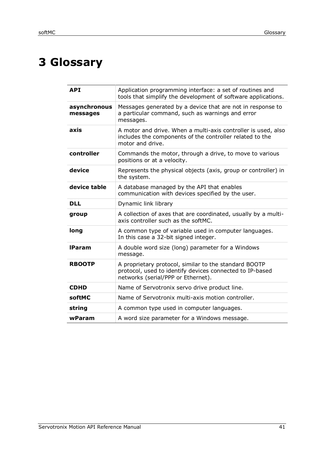# <span id="page-40-0"></span>**3 Glossary**

| <b>API</b>               | Application programming interface: a set of routines and<br>tools that simplify the development of software applications.                               |
|--------------------------|---------------------------------------------------------------------------------------------------------------------------------------------------------|
| asynchronous<br>messages | Messages generated by a device that are not in response to<br>a particular command, such as warnings and error<br>messages.                             |
| axis                     | A motor and drive. When a multi-axis controller is used, also<br>includes the components of the controller related to the<br>motor and drive.           |
| controller               | Commands the motor, through a drive, to move to various<br>positions or at a velocity.                                                                  |
| device                   | Represents the physical objects (axis, group or controller) in<br>the system.                                                                           |
| device table             | A database managed by the API that enables<br>communication with devices specified by the user.                                                         |
| <b>DLL</b>               | Dynamic link library                                                                                                                                    |
| group                    | A collection of axes that are coordinated, usually by a multi-<br>axis controller such as the softMC.                                                   |
| long                     | A common type of variable used in computer languages.<br>In this case a 32-bit signed integer.                                                          |
| <b>IParam</b>            | A double word size (long) parameter for a Windows<br>message.                                                                                           |
| <b>RBOOTP</b>            | A proprietary protocol, similar to the standard BOOTP<br>protocol, used to identify devices connected to IP-based<br>networks (serial/PPP or Ethernet). |
| <b>CDHD</b>              | Name of Servotronix servo drive product line.                                                                                                           |
| softMC                   | Name of Servotronix multi-axis motion controller.                                                                                                       |
| string                   | A common type used in computer languages.                                                                                                               |
| wParam                   | A word size parameter for a Windows message.                                                                                                            |